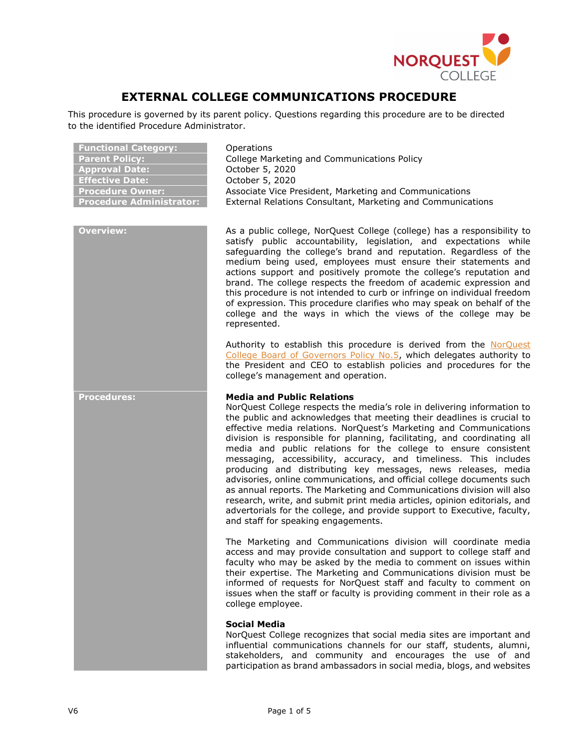

# EXTERNAL COLLEGE COMMUNICATIONS PROCEDURE

This procedure is governed by its parent policy. Questions regarding this procedure are to be directed to the identified Procedure Administrator.

| <b>Functional Category:</b>     |
|---------------------------------|
| <b>Parent Policy:</b>           |
| <b>Approval Date:</b>           |
| <b>Effective Date:</b>          |
| <b>Procedure Owner:</b>         |
| <b>Procedure Administrator:</b> |

**Operations** College Marketing and Communications Policy October 5, 2020 October 5, 2020 Associate Vice President, Marketing and Communications External Relations Consultant, Marketing and Communications

Overview: As a public college, NorQuest College (college) has a responsibility to satisfy public accountability, legislation, and expectations while safeguarding the college's brand and reputation. Regardless of the medium being used, employees must ensure their statements and actions support and positively promote the college's reputation and brand. The college respects the freedom of academic expression and this procedure is not intended to curb or infringe on individual freedom of expression. This procedure clarifies who may speak on behalf of the college and the ways in which the views of the college may be represented.

> Authority to establish this procedure is derived from the NorQuest College Board of Governors Policy No.5, which delegates authority to the President and CEO to establish policies and procedures for the college's management and operation.

# **Procedures:** Media and Public Relations

NorQuest College respects the media's role in delivering information to the public and acknowledges that meeting their deadlines is crucial to effective media relations. NorQuest's Marketing and Communications division is responsible for planning, facilitating, and coordinating all media and public relations for the college to ensure consistent messaging, accessibility, accuracy, and timeliness. This includes producing and distributing key messages, news releases, media advisories, online communications, and official college documents such as annual reports. The Marketing and Communications division will also research, write, and submit print media articles, opinion editorials, and advertorials for the college, and provide support to Executive, faculty, and staff for speaking engagements.

The Marketing and Communications division will coordinate media access and may provide consultation and support to college staff and faculty who may be asked by the media to comment on issues within their expertise. The Marketing and Communications division must be informed of requests for NorQuest staff and faculty to comment on issues when the staff or faculty is providing comment in their role as a college employee.

### Social Media

NorQuest College recognizes that social media sites are important and influential communications channels for our staff, students, alumni, stakeholders, and community and encourages the use of and participation as brand ambassadors in social media, blogs, and websites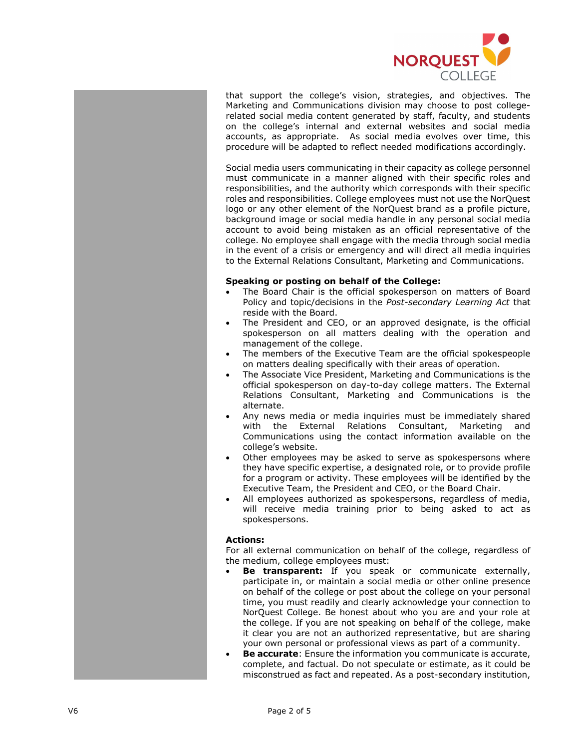

that support the college's vision, strategies, and objectives. The Marketing and Communications division may choose to post collegerelated social media content generated by staff, faculty, and students on the college's internal and external websites and social media accounts, as appropriate. As social media evolves over time, this procedure will be adapted to reflect needed modifications accordingly.

Social media users communicating in their capacity as college personnel must communicate in a manner aligned with their specific roles and responsibilities, and the authority which corresponds with their specific roles and responsibilities. College employees must not use the NorQuest logo or any other element of the NorQuest brand as a profile picture, background image or social media handle in any personal social media account to avoid being mistaken as an official representative of the college. No employee shall engage with the media through social media in the event of a crisis or emergency and will direct all media inquiries to the External Relations Consultant, Marketing and Communications.

### Speaking or posting on behalf of the College:

- The Board Chair is the official spokesperson on matters of Board Policy and topic/decisions in the Post-secondary Learning Act that reside with the Board.
- The President and CEO, or an approved designate, is the official spokesperson on all matters dealing with the operation and management of the college.
- The members of the Executive Team are the official spokespeople on matters dealing specifically with their areas of operation.
- The Associate Vice President, Marketing and Communications is the official spokesperson on day-to-day college matters. The External Relations Consultant, Marketing and Communications is the alternate.
- Any news media or media inquiries must be immediately shared with the External Relations Consultant, Marketing and Communications using the contact information available on the college's website.
- Other employees may be asked to serve as spokespersons where they have specific expertise, a designated role, or to provide profile for a program or activity. These employees will be identified by the Executive Team, the President and CEO, or the Board Chair.
- All employees authorized as spokespersons, regardless of media, will receive media training prior to being asked to act as spokespersons.

# Actions:

For all external communication on behalf of the college, regardless of the medium, college employees must:

- Be transparent: If you speak or communicate externally, participate in, or maintain a social media or other online presence on behalf of the college or post about the college on your personal time, you must readily and clearly acknowledge your connection to NorQuest College. Be honest about who you are and your role at the college. If you are not speaking on behalf of the college, make it clear you are not an authorized representative, but are sharing your own personal or professional views as part of a community.
- **Be accurate:** Ensure the information you communicate is accurate, complete, and factual. Do not speculate or estimate, as it could be misconstrued as fact and repeated. As a post-secondary institution,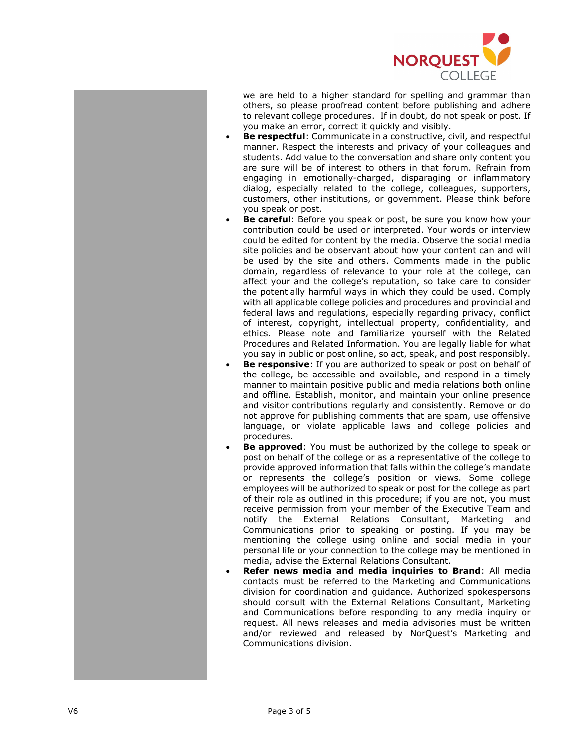

we are held to a higher standard for spelling and grammar than others, so please proofread content before publishing and adhere to relevant college procedures. If in doubt, do not speak or post. If you make an error, correct it quickly and visibly.

- Be respectful: Communicate in a constructive, civil, and respectful manner. Respect the interests and privacy of your colleagues and students. Add value to the conversation and share only content you are sure will be of interest to others in that forum. Refrain from engaging in emotionally-charged, disparaging or inflammatory dialog, especially related to the college, colleagues, supporters, customers, other institutions, or government. Please think before you speak or post.
- Be careful: Before you speak or post, be sure you know how your contribution could be used or interpreted. Your words or interview could be edited for content by the media. Observe the social media site policies and be observant about how your content can and will be used by the site and others. Comments made in the public domain, regardless of relevance to your role at the college, can affect your and the college's reputation, so take care to consider the potentially harmful ways in which they could be used. Comply with all applicable college policies and procedures and provincial and federal laws and regulations, especially regarding privacy, conflict of interest, copyright, intellectual property, confidentiality, and ethics. Please note and familiarize yourself with the Related Procedures and Related Information. You are legally liable for what you say in public or post online, so act, speak, and post responsibly.
- Be responsive: If you are authorized to speak or post on behalf of the college, be accessible and available, and respond in a timely manner to maintain positive public and media relations both online and offline. Establish, monitor, and maintain your online presence and visitor contributions regularly and consistently. Remove or do not approve for publishing comments that are spam, use offensive language, or violate applicable laws and college policies and procedures.
- Be approved: You must be authorized by the college to speak or post on behalf of the college or as a representative of the college to provide approved information that falls within the college's mandate or represents the college's position or views. Some college employees will be authorized to speak or post for the college as part of their role as outlined in this procedure; if you are not, you must receive permission from your member of the Executive Team and notify the External Relations Consultant, Marketing and Communications prior to speaking or posting. If you may be mentioning the college using online and social media in your personal life or your connection to the college may be mentioned in media, advise the External Relations Consultant.
- Refer news media and media inquiries to Brand: All media contacts must be referred to the Marketing and Communications division for coordination and guidance. Authorized spokespersons should consult with the External Relations Consultant, Marketing and Communications before responding to any media inquiry or request. All news releases and media advisories must be written and/or reviewed and released by NorQuest's Marketing and Communications division.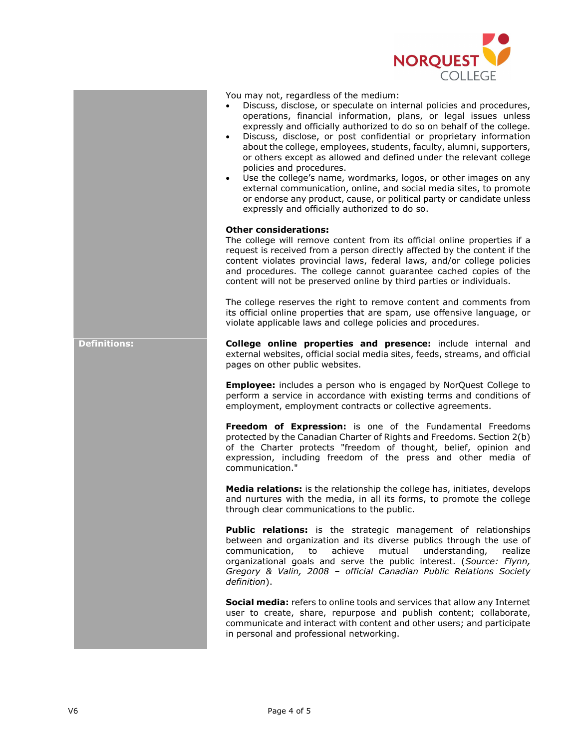

You may not, regardless of the medium:

- Discuss, disclose, or speculate on internal policies and procedures, operations, financial information, plans, or legal issues unless expressly and officially authorized to do so on behalf of the college.
- Discuss, disclose, or post confidential or proprietary information about the college, employees, students, faculty, alumni, supporters, or others except as allowed and defined under the relevant college policies and procedures.
- Use the college's name, wordmarks, logos, or other images on any external communication, online, and social media sites, to promote or endorse any product, cause, or political party or candidate unless expressly and officially authorized to do so.

#### Other considerations:

The college will remove content from its official online properties if a request is received from a person directly affected by the content if the content violates provincial laws, federal laws, and/or college policies and procedures. The college cannot guarantee cached copies of the content will not be preserved online by third parties or individuals.

The college reserves the right to remove content and comments from its official online properties that are spam, use offensive language, or violate applicable laws and college policies and procedures.

Definitions: **College online properties and presence:** include internal and external websites, official social media sites, feeds, streams, and official pages on other public websites.

> **Employee:** includes a person who is engaged by NorQuest College to perform a service in accordance with existing terms and conditions of employment, employment contracts or collective agreements.

> Freedom of Expression: is one of the Fundamental Freedoms protected by the Canadian Charter of Rights and Freedoms. Section 2(b) of the Charter protects "freedom of thought, belief, opinion and expression, including freedom of the press and other media of communication."

> Media relations: is the relationship the college has, initiates, develops and nurtures with the media, in all its forms, to promote the college through clear communications to the public.

> Public relations: is the strategic management of relationships between and organization and its diverse publics through the use of communication, to achieve mutual understanding, realize organizational goals and serve the public interest. (Source: Flynn, Gregory & Valin, 2008 – official Canadian Public Relations Society definition).

> Social media: refers to online tools and services that allow any Internet user to create, share, repurpose and publish content; collaborate, communicate and interact with content and other users; and participate in personal and professional networking.